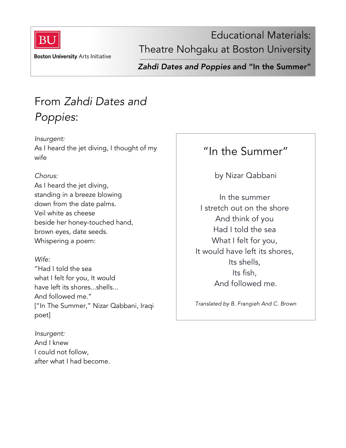

Educational Materials: Theatre Nohgaku at Boston University

**Boston University Arts Initiative** 

*Zahdi Dates and Poppies* and "In the Summer"

# From *Zahdi Dates and Poppies*:

*Insurgent:* As I heard the jet diving, I thought of my wife

#### *Chorus:*

As I heard the jet diving, standing in a breeze blowing down from the date palms. Veil white as cheese beside her honey-touched hand, brown eyes, date seeds. Whispering a poem:

### *Wife:*

"Had I told the sea what I felt for you, It would have left its shores...shells... And followed me." ["In The Summer," Nizar Qabbani, Iraqi poet]

*Insurgent:* And I knew I could not follow, after what I had become.

### "In the Summer"

by Nizar Qabbani

In the summer I stretch out on the shore And think of you Had I told the sea What I felt for you, It would have left its shores, Its shells, Its fish, And followed me.

*Translated by B. Frangieh And C. Brown*